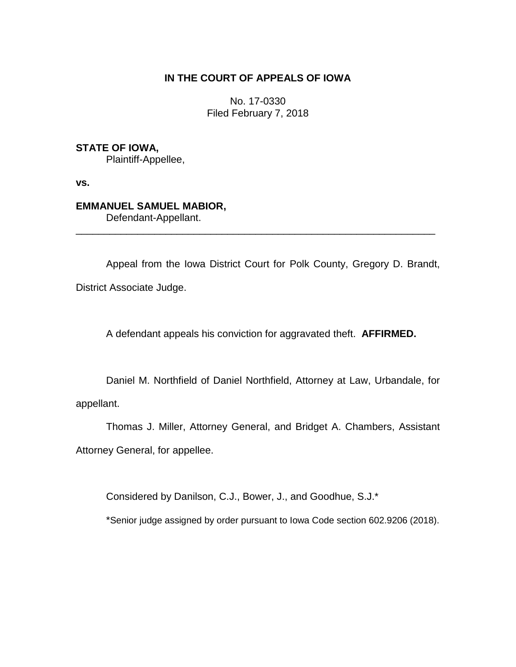# **IN THE COURT OF APPEALS OF IOWA**

No. 17-0330 Filed February 7, 2018

# **STATE OF IOWA,**

Plaintiff-Appellee,

**vs.**

# **EMMANUEL SAMUEL MABIOR,**

Defendant-Appellant.

Appeal from the Iowa District Court for Polk County, Gregory D. Brandt, District Associate Judge.

\_\_\_\_\_\_\_\_\_\_\_\_\_\_\_\_\_\_\_\_\_\_\_\_\_\_\_\_\_\_\_\_\_\_\_\_\_\_\_\_\_\_\_\_\_\_\_\_\_\_\_\_\_\_\_\_\_\_\_\_\_\_\_\_

A defendant appeals his conviction for aggravated theft. **AFFIRMED.**

Daniel M. Northfield of Daniel Northfield, Attorney at Law, Urbandale, for appellant.

Thomas J. Miller, Attorney General, and Bridget A. Chambers, Assistant Attorney General, for appellee.

Considered by Danilson, C.J., Bower, J., and Goodhue, S.J.\*

\*Senior judge assigned by order pursuant to Iowa Code section 602.9206 (2018).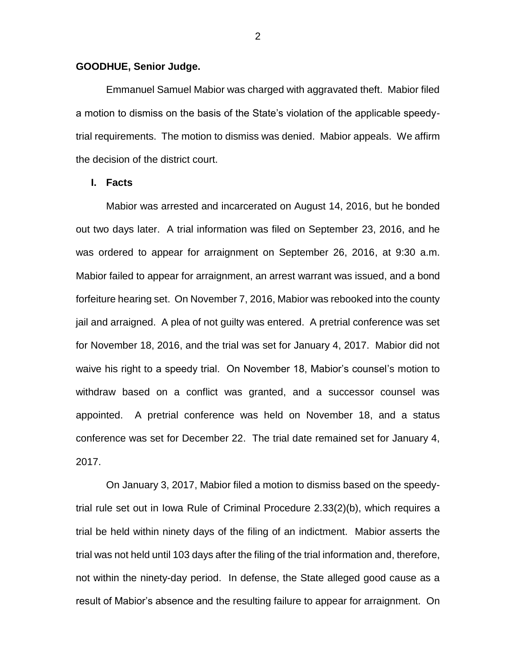### **GOODHUE, Senior Judge.**

Emmanuel Samuel Mabior was charged with aggravated theft. Mabior filed a motion to dismiss on the basis of the State's violation of the applicable speedytrial requirements. The motion to dismiss was denied. Mabior appeals. We affirm the decision of the district court.

### **I. Facts**

Mabior was arrested and incarcerated on August 14, 2016, but he bonded out two days later. A trial information was filed on September 23, 2016, and he was ordered to appear for arraignment on September 26, 2016, at 9:30 a.m. Mabior failed to appear for arraignment, an arrest warrant was issued, and a bond forfeiture hearing set. On November 7, 2016, Mabior was rebooked into the county jail and arraigned. A plea of not guilty was entered. A pretrial conference was set for November 18, 2016, and the trial was set for January 4, 2017. Mabior did not waive his right to a speedy trial. On November 18, Mabior's counsel's motion to withdraw based on a conflict was granted, and a successor counsel was appointed. A pretrial conference was held on November 18, and a status conference was set for December 22. The trial date remained set for January 4, 2017.

On January 3, 2017, Mabior filed a motion to dismiss based on the speedytrial rule set out in Iowa Rule of Criminal Procedure 2.33(2)(b), which requires a trial be held within ninety days of the filing of an indictment. Mabior asserts the trial was not held until 103 days after the filing of the trial information and, therefore, not within the ninety-day period. In defense, the State alleged good cause as a result of Mabior's absence and the resulting failure to appear for arraignment. On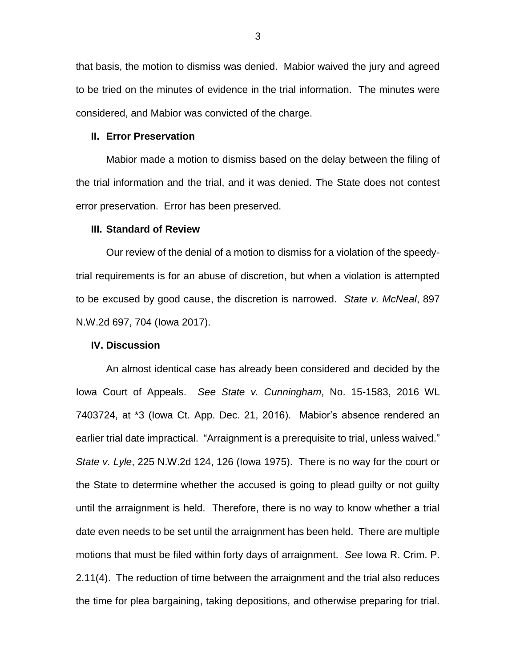that basis, the motion to dismiss was denied. Mabior waived the jury and agreed to be tried on the minutes of evidence in the trial information. The minutes were considered, and Mabior was convicted of the charge.

#### **II. Error Preservation**

Mabior made a motion to dismiss based on the delay between the filing of the trial information and the trial, and it was denied. The State does not contest error preservation. Error has been preserved.

#### **III. Standard of Review**

Our review of the denial of a motion to dismiss for a violation of the speedytrial requirements is for an abuse of discretion, but when a violation is attempted to be excused by good cause, the discretion is narrowed. *State v. McNeal*, 897 N.W.2d 697, 704 (Iowa 2017).

### **IV. Discussion**

An almost identical case has already been considered and decided by the Iowa Court of Appeals. *See State v. Cunningham*, No. 15-1583, 2016 WL 7403724, at \*3 (Iowa Ct. App. Dec. 21, 2016). Mabior's absence rendered an earlier trial date impractical. "Arraignment is a prerequisite to trial, unless waived." *State v. Lyle*, 225 N.W.2d 124, 126 (Iowa 1975). There is no way for the court or the State to determine whether the accused is going to plead guilty or not guilty until the arraignment is held. Therefore, there is no way to know whether a trial date even needs to be set until the arraignment has been held. There are multiple motions that must be filed within forty days of arraignment. *See* Iowa R. Crim. P. 2.11(4). The reduction of time between the arraignment and the trial also reduces the time for plea bargaining, taking depositions, and otherwise preparing for trial.